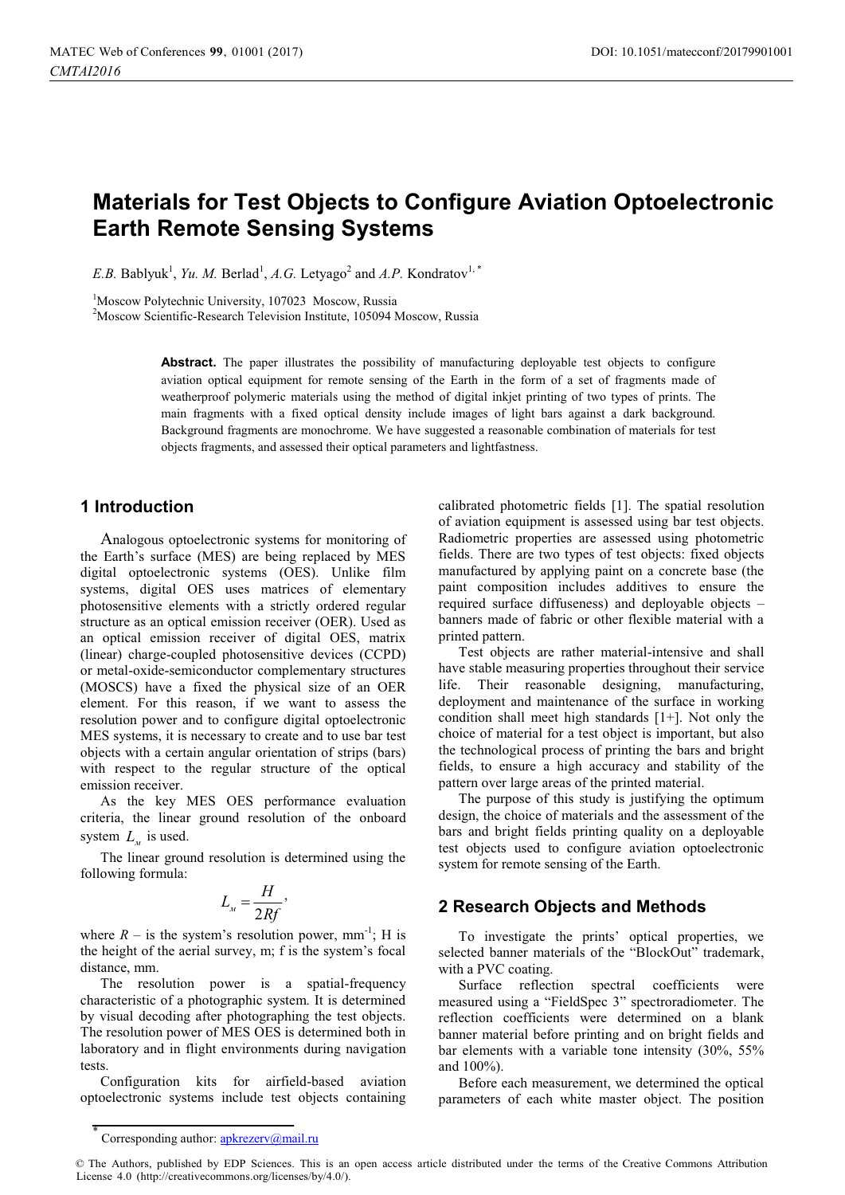# **Materials for Test Objects to Configure Aviation Optoelectronic Earth Remote Sensing Systems**

*E.B.* Bablyuk<sup>1</sup>, *Yu. M.* Berlad<sup>1</sup>, *A.G.* Letyago<sup>2</sup> and *A.P.* Kondratov<sup>1,\*</sup>

<sup>1</sup>Moscow Polytechnic University, 107023 Moscow, Russia

<sup>2</sup>Moscow Scientific-Research Television Institute, 105094 Moscow, Russia

Abstract. The paper illustrates the possibility of manufacturing deployable test objects to configure aviation optical equipment for remote sensing of the Earth in the form of a set of fragments made of weatherproof polymeric materials using the method of digital inkjet printing of two types of prints. The main fragments with a fixed optical density include images of light bars against a dark background. Background fragments are monochrome. We have suggested a reasonable combination of materials for test objects fragments, and assessed their optical parameters and lightfastness.

#### **1 Introduction**

Analogous optoelectronic systems for monitoring of the Earth's surface (MES) are being replaced by MES digital optoelectronic systems (OES). Unlike film systems, digital OES uses matrices of elementary photosensitive elements with a strictly ordered regular structure as an optical emission receiver (OER). Used as an optical emission receiver of digital OES, matrix (linear) charge-coupled photosensitive devices (CCPD) or metal-oxide-semiconductor complementary structures (MOSCS) have a fixed the physical size of an OER element. For this reason, if we want to assess the resolution power and to configure digital optoelectronic MES systems, it is necessary to create and to use bar test objects with a certain angular orientation of strips (bars) with respect to the regular structure of the optical emission receiver.

As the key MES OES performance evaluation criteria, the linear ground resolution of the onboard system  $L<sub>M</sub>$  is used.

The linear ground resolution is determined using the following formula:

$$
L_{_M}=\frac{H}{2Rf},
$$

where  $R -$  is the system's resolution power, mm<sup>-1</sup>; H is the height of the aerial survey, m; f is the system's focal distance, mm.

The resolution power is a spatial-frequency characteristic of a photographic system. It is determined by visual decoding after photographing the test objects. The resolution power of MES OES is determined both in laboratory and in flight environments during navigation tests.

Configuration kits for airfield-based aviation optoelectronic systems include test objects containing

calibrated photometric fields [1]. The spatial resolution of aviation equipment is assessed using bar test objects. Radiometric properties are assessed using photometric fields. There are two types of test objects: fixed objects manufactured by applying paint on a concrete base (the paint composition includes additives to ensure the required surface diffuseness) and deployable objects – banners made of fabric or other flexible material with a printed pattern.

Test objects are rather material-intensive and shall have stable measuring properties throughout their service life. Their reasonable designing, manufacturing, deployment and maintenance of the surface in working condition shall meet high standards [1+]. Not only the choice of material for a test object is important, but also the technological process of printing the bars and bright fields, to ensure a high accuracy and stability of the pattern over large areas of the printed material.

The purpose of this study is justifying the optimum design, the choice of materials and the assessment of the bars and bright fields printing quality on a deployable test objects used to configure aviation optoelectronic system for remote sensing of the Earth.

#### **2 Research Objects and Methods**

To investigate the prints' optical properties, we selected banner materials of the "BlockOut" trademark, with a PVC coating.

Surface reflection spectral coefficients were measured using a "FieldSpec 3" spectroradiometer. The reflection coefficients were determined on a blank banner material before printing and on bright fields and bar elements with a variable tone intensity (30%, 55% and 100%).

Before each measurement, we determined the optical parameters of each white master object. The position

<sup>\*</sup> Corresponding author: **apkrezerv@mail.ru** 

<sup>©</sup> The Authors, published by EDP Sciences. This is an open access article distributed under the terms of the Creative Commons Attribution License 4.0 (http://creativecommons.org/licenses/by/4.0/).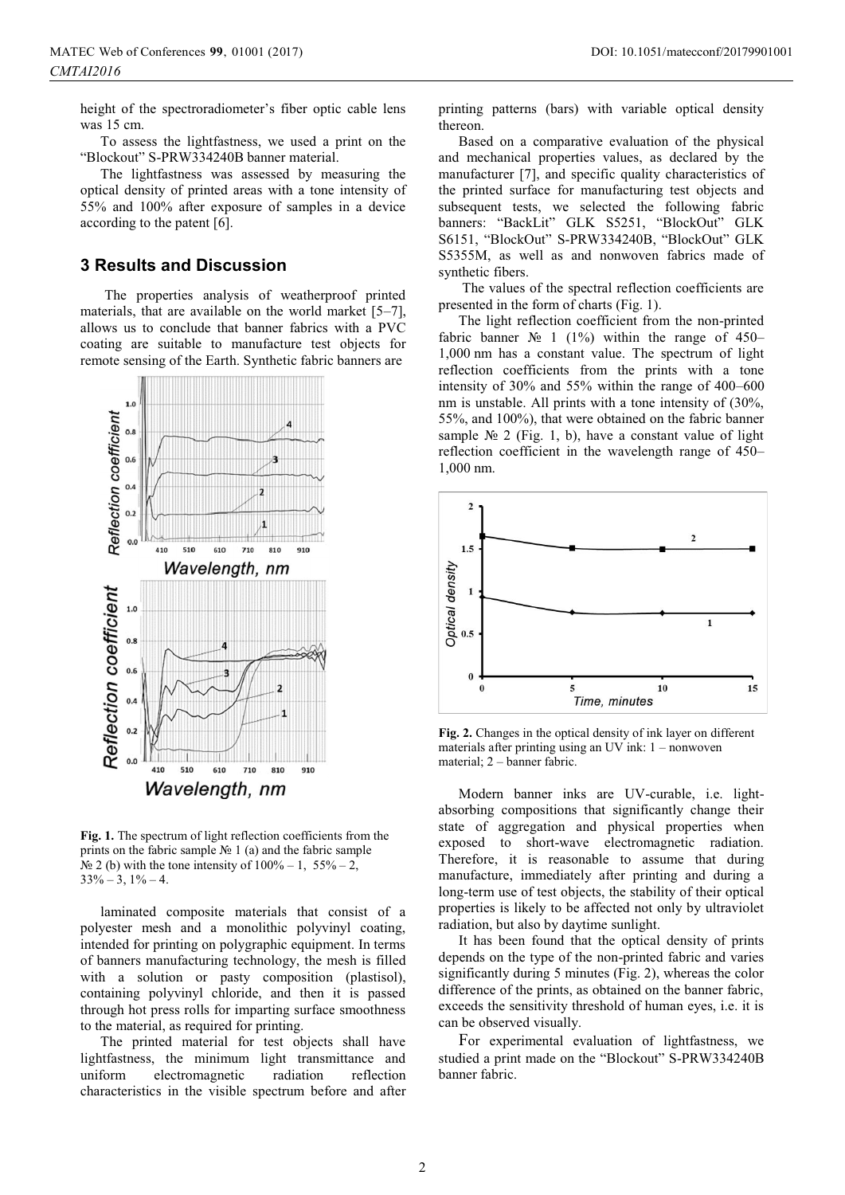height of the spectroradiometer's fiber optic cable lens was 15 cm.

To assess the lightfastness, we used a print on the "Blockout" S-PRW334240B banner material.

The lightfastness was assessed by measuring the optical density of printed areas with a tone intensity of 55% and 100% after exposure of samples in a device according to the patent [6].

#### **3 Results and Discussion**

 The properties analysis of weatherproof printed materials, that are available on the world market [5–7], allows us to conclude that banner fabrics with a PVC coating are suitable to manufacture test objects for remote sensing of the Earth. Synthetic fabric banners are



**Fig. 1.** The spectrum of light reflection coefficients from the prints on the fabric sample № 1 (a) and the fabric sample  $N<sup>°</sup>$  2 (b) with the tone intensity of 100% – 1, 55% – 2,  $33\% - 3$ ,  $1\% - 4$ .

laminated composite materials that consist of a polyester mesh and a monolithic polyvinyl coating, intended for printing on polygraphic equipment. In terms of banners manufacturing technology, the mesh is filled with a solution or pasty composition (plastisol), containing polyvinyl chloride, and then it is passed through hot press rolls for imparting surface smoothness to the material, as required for printing.

The printed material for test objects shall have lightfastness, the minimum light transmittance and uniform electromagnetic radiation reflection characteristics in the visible spectrum before and after printing patterns (bars) with variable optical density thereon.

Based on a comparative evaluation of the physical and mechanical properties values, as declared by the manufacturer [7], and specific quality characteristics of the printed surface for manufacturing test objects and subsequent tests, we selected the following fabric banners: "BackLit" GLK S5251, "BlockOut" GLK S6151, "BlockOut" S-PRW334240B, "BlockOut" GLK S5355M, as well as and nonwoven fabrics made of synthetic fibers.

 The values of the spectral reflection coefficients are presented in the form of charts (Fig. 1).

The light reflection coefficient from the non-printed fabric banner  $\mathcal{N}_2$  1 (1%) within the range of 450– 1,000 nm has a constant value. The spectrum of light reflection coefficients from the prints with a tone intensity of 30% and 55% within the range of 400–600 nm is unstable. All prints with a tone intensity of (30%, 55%, and 100%), that were obtained on the fabric banner sample  $\mathcal{N}$  2 (Fig. 1, b), have a constant value of light reflection coefficient in the wavelength range of 450– 1,000 nm.



**Fig. 2.** Changes in the optical density of ink layer on different materials after printing using an UV ink: 1 – nonwoven material; 2 – banner fabric.

Modern banner inks are UV-curable, i.e. lightabsorbing compositions that significantly change their state of aggregation and physical properties when exposed to short-wave electromagnetic radiation. Therefore, it is reasonable to assume that during manufacture, immediately after printing and during a long-term use of test objects, the stability of their optical properties is likely to be affected not only by ultraviolet radiation, but also by daytime sunlight.

It has been found that the optical density of prints depends on the type of the non-printed fabric and varies significantly during 5 minutes (Fig. 2), whereas the color difference of the prints, as obtained on the banner fabric, exceeds the sensitivity threshold of human eyes, i.e. it is can be observed visually.

For experimental evaluation of lightfastness, we studied a print made on the "Blockout" S-PRW334240B banner fabric.